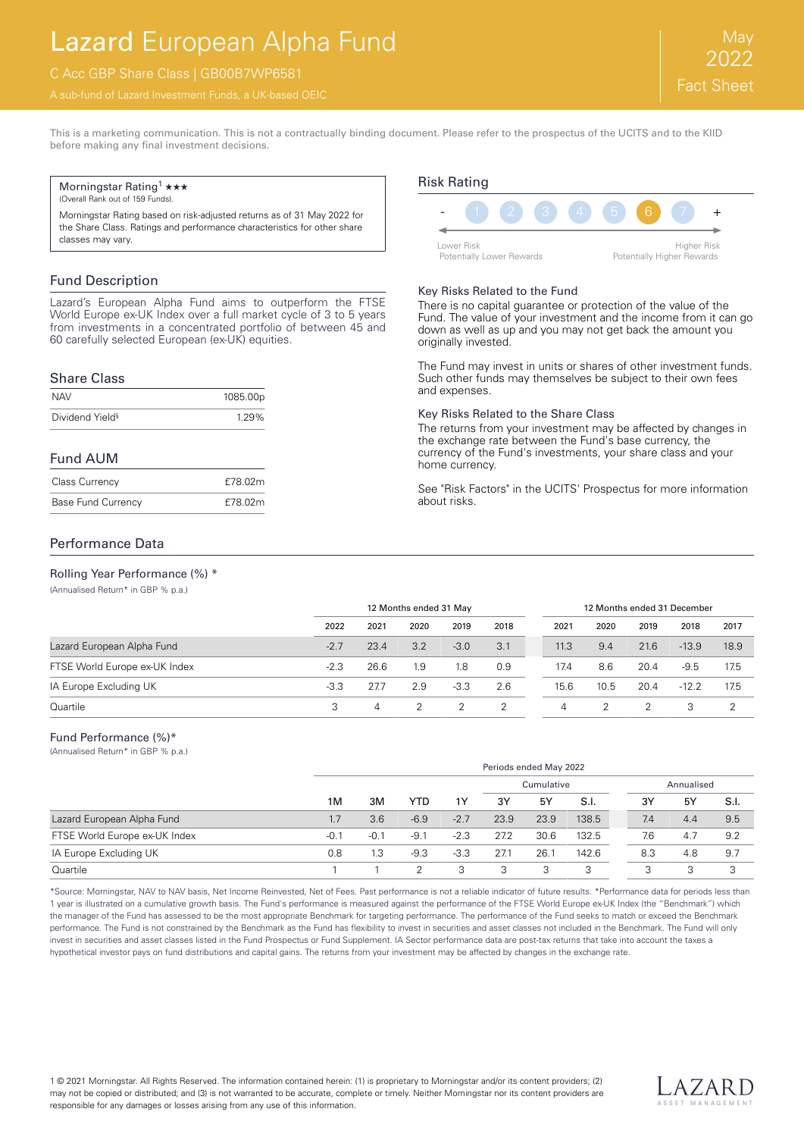# Lazard European Alpha Fund

## C Acc GBP Share Class | GB00B7WP6581

This is a marketing communication. This is not a contractually binding document. Please refer to the prospectus of the UCITS and to the KIID before making any final investment decisions.

#### Morningstar Rating<sup>1</sup>  $\star\star\star$

(Overall Rank out of 159 Funds).

Morningstar Rating based on risk-adjusted returns as of 31 May 2022 for the Share Class. Ratings and performance characteristics for other share classes may vary.

#### Fund Description

Lazard's European Alpha Fund aims to outperform the FTSE World Europe ex-UK Index over a full market cycle of 3 to 5 years from investments in a concentrated portfolio of between 45 and 60 carefully selected European (ex-UK) equities.

#### Share Class

| <b>NAV</b>                  | 1085.00p |
|-----------------------------|----------|
| Dividend Yield <sup>§</sup> | 1.29%    |

#### Fund AUM

| <b>Class Currency</b>     | £78.02m |
|---------------------------|---------|
| <b>Base Fund Currency</b> | £78.02m |

## Risk Rating  $-$  (1 (2 (3 (4 ) (5 ) (6 ) (7 ) + Lower Risk

Potentially Lower Rewards

Higher Risk Potentially Higher Rewards

#### Key Risks Related to the Fund

There is no capital guarantee or protection of the value of the Fund. The value of your investment and the income from it can go down as well as up and you may not get back the amount you originally invested.

The Fund may invest in units or shares of other investment funds. Such other funds may themselves be subject to their own fees and expenses.

#### Key Risks Related to the Share Class

The returns from your investment may be affected by changes in the exchange rate between the Fund's base currency, the currency of the Fund's investments, your share class and your home currency.

See "Risk Factors" in the UCITS' Prospectus for more information about risks.

#### Performance Data

Rolling Year Performance (%) \* (Annualised Return\* in GBP % p.a.)

12 Months ended 31 May 12 Months ended 31 December 2022 2021 2020 2019 2018 2021 2020 2019 2018 2017 Lazard European Alpha Fund -2.7 23.4 3.2 -3.0 3.1 11.3 9.4 21.6 -13.9 18.9 FTSE World Europe ex-UK Index -2.3 26.6 1.9 1.8 0.9 17.4 8.6 20.4 -9.5 17.5 IA Europe Excluding UK -3.3 27.7 2.9 -3.3 2.6 15.6 10.5 20.4 -12.2 17.5 Quartile 3 4 2 2 2 4 2 2 3 2

#### Fund Performance (%)\*

(Annualised Return\* in GBP % p.a.)

|                               |        | Periods ended May 2022 |        |        |            |      |       |     |            |      |  |
|-------------------------------|--------|------------------------|--------|--------|------------|------|-------|-----|------------|------|--|
|                               |        | 3M                     | YTD    | 1Υ     | Cumulative |      |       |     | Annualised |      |  |
|                               | 1M     |                        |        |        | 3Y         | 5Y   | S.I.  | 3Y  | 5Y         | S.I. |  |
| Lazard European Alpha Fund    | 1.7    | 3.6                    | $-6.9$ | $-2.7$ | 23.9       | 23.9 | 138.5 | 7.4 | 4.4        | 9.5  |  |
| FTSE World Europe ex-UK Index | $-0.1$ | $-0.1$                 | -9.1   | $-2.3$ | 27.2       | 30.6 | 132.5 | 7.6 | 4.7        | 9.2  |  |
| IA Europe Excluding UK        | 0.8    | 1.3                    | $-9.3$ | $-3.3$ | 27.1       | 26.7 | 142.6 | 8.3 | 4.8        | 9.7  |  |
| Quartile                      |        |                        |        |        | 3          |      |       | 3   | 3          | 3    |  |

\*Source: Morningstar, NAV to NAV basis, Net Income Reinvested, Net of Fees. Past performance is not a reliable indicator of future results. \*Performance data for periods less than 1 year is illustrated on a cumulative growth basis. The Fund's performance is measured against the performance of the FTSE World Europe ex-UK Index (the "Benchmark") which the manager of the Fund has assessed to be the most appropriate Benchmark for targeting performance. The performance of the Fund seeks to match or exceed the Benchmark performance. The Fund is not constrained by the Benchmark as the Fund has flexibility to invest in securities and asset classes not included in the Benchmark. The Fund will only invest in securities and asset classes listed in the Fund Prospectus or Fund Supplement. IA Sector performance data are post-tax returns that take into account the taxes a hypothetical investor pays on fund distributions and capital gains. The returns from your investment may be affected by changes in the exchange rate.

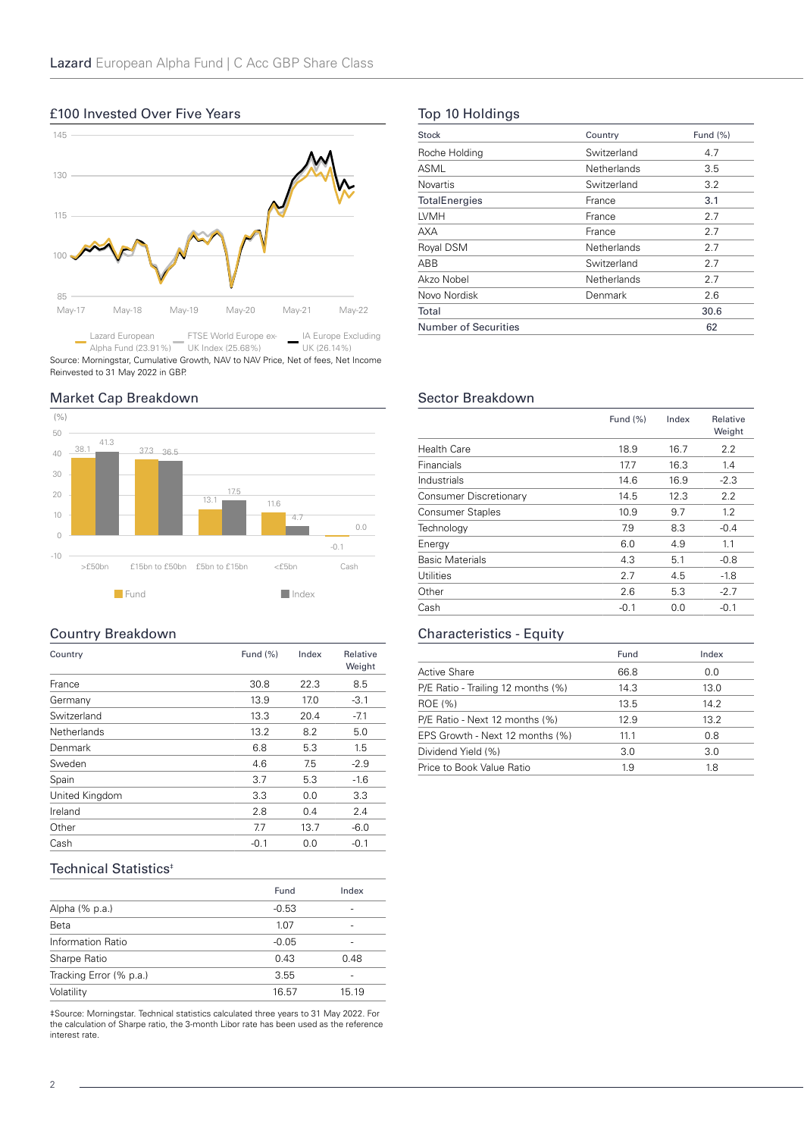## £100 Invested Over Five Years



Alpha Fund (23.91%) UK Index (25.68%) UK (26.14%) Source: Morningstar, Cumulative Growth, NAV to NAV Price, Net of fees, Net Income Reinvested to 31 May 2022 in GBP.

## Market Cap Breakdown



## Country Breakdown

| Country            | Fund $(\%)$ | Index | Relative<br>Weight |
|--------------------|-------------|-------|--------------------|
| France             | 30.8        | 22.3  | 8.5                |
| Germany            | 13.9        | 17.0  | $-3.1$             |
| Switzerland        | 13.3        | 20.4  | $-7.1$             |
| <b>Netherlands</b> | 13.2        | 8.2   | 5.0                |
| Denmark            | 6.8         | 5.3   | 1.5                |
| Sweden             | 4.6         | 7.5   | $-2.9$             |
| Spain              | 3.7         | 5.3   | $-1.6$             |
| United Kingdom     | 3.3         | 0.0   | 3.3                |
| Ireland            | 2.8         | 0.4   | 2.4                |
| Other              | 7.7         | 13.7  | $-6.0$             |
| Cash               | $-0.1$      | 0.0   | $-0.1$             |

## Technical Statistics<sup>+</sup>

|                         | Fund    | Index |
|-------------------------|---------|-------|
| Alpha (% p.a.)          | $-0.53$ | -     |
| Beta                    | 1.07    |       |
| Information Ratio       | $-0.05$ |       |
| Sharpe Ratio            | 0.43    | 0.48  |
| Tracking Error (% p.a.) | 3.55    |       |
| Volatility              | 16.57   | 15.19 |

‡Source: Morningstar. Technical statistics calculated three years to 31 May 2022. For the calculation of Sharpe ratio, the 3-month Libor rate has been used as the reference interest rate.

## Top 10 Holdings

| Stock                       | Country     | Fund $(\%)$ |
|-----------------------------|-------------|-------------|
| Roche Holding               | Switzerland | 4.7         |
| ASML                        | Netherlands | 3.5         |
| <b>Novartis</b>             | Switzerland | 3.2         |
| <b>TotalEnergies</b>        | France      | 3.1         |
| <b>LVMH</b>                 | France      | 2.7         |
| <b>AXA</b>                  | France      | 2.7         |
| Royal DSM                   | Netherlands | 2.7         |
| ABB                         | Switzerland | 2.7         |
| Akzo Nobel                  | Netherlands | 2.7         |
| Novo Nordisk                | Denmark     | 2.6         |
| Total                       |             | 30.6        |
| <b>Number of Securities</b> |             | 62          |

## Sector Breakdown

|                         | Fund $(\%)$ | Index | Relative<br>Weight |
|-------------------------|-------------|-------|--------------------|
| <b>Health Care</b>      | 18.9        | 16.7  | 2.2                |
| Financials              | 17.7        | 16.3  | 1.4                |
| Industrials             | 14.6        | 16.9  | $-2.3$             |
| Consumer Discretionary  | 14.5        | 12.3  | 2.2                |
| <b>Consumer Staples</b> | 10.9        | 9.7   | 1.2                |
| Technology              | 7.9         | 8.3   | $-0.4$             |
| Energy                  | 6.0         | 4.9   | 1.1                |
| <b>Basic Materials</b>  | 4.3         | 5.1   | $-0.8$             |
| <b>Utilities</b>        | 2.7         | 4.5   | $-1.8$             |
| Other                   | 2.6         | 5.3   | $-2.7$             |
| Cash                    | $-0.1$      | 0.0   | $-0.1$             |

## Characteristics - Equity

|                                    | Fund | Index |
|------------------------------------|------|-------|
| <b>Active Share</b>                | 66.8 | 0.0   |
| P/E Ratio - Trailing 12 months (%) | 14.3 | 13.0  |
| ROE (%)                            | 13.5 | 14.2  |
| P/E Ratio - Next 12 months (%)     | 12.9 | 13.2  |
| EPS Growth - Next 12 months (%)    | 11.1 | 0.8   |
| Dividend Yield (%)                 | 3.0  | 3.0   |
| Price to Book Value Ratio          | 1.9  | 1.8   |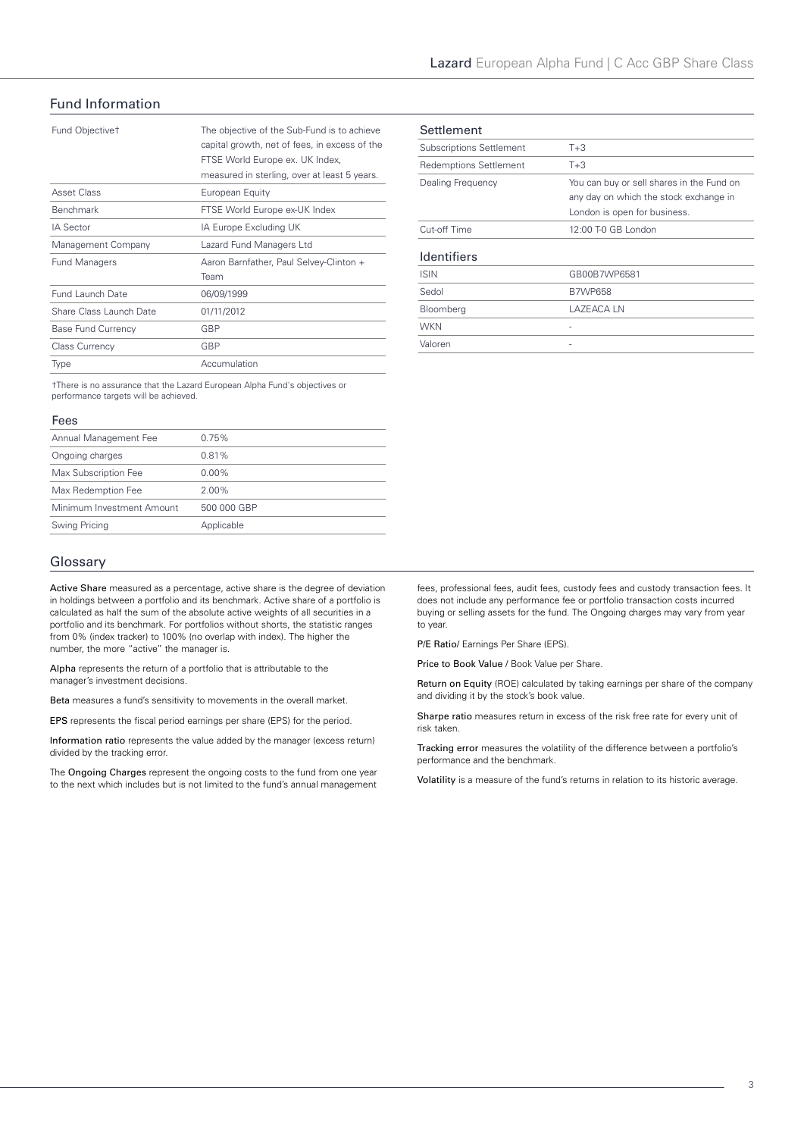## Fund Information

| Fund Objective <sup>+</sup> | The objective of the Sub-Fund is to achieve<br>capital growth, net of fees, in excess of the<br>FTSE World Europe ex. UK Index,<br>measured in sterling, over at least 5 years. |
|-----------------------------|---------------------------------------------------------------------------------------------------------------------------------------------------------------------------------|
| <b>Asset Class</b>          | European Equity                                                                                                                                                                 |
| <b>Benchmark</b>            | FTSE World Europe ex-UK Index                                                                                                                                                   |
| <b>IA Sector</b>            | IA Europe Excluding UK                                                                                                                                                          |
| Management Company          | Lazard Fund Managers Ltd                                                                                                                                                        |
| <b>Fund Managers</b>        | Aaron Barnfather, Paul Selvey-Clinton +                                                                                                                                         |
|                             | Team                                                                                                                                                                            |
| Fund Launch Date            | 06/09/1999                                                                                                                                                                      |
| Share Class Launch Date     | 01/11/2012                                                                                                                                                                      |
| <b>Base Fund Currency</b>   | GBP                                                                                                                                                                             |
| <b>Class Currency</b>       | GBP                                                                                                                                                                             |
| Type                        | Accumulation                                                                                                                                                                    |

†There is no assurance that the Lazard European Alpha Fund's objectives or performance targets will be achieved.

#### Fees

| Annual Management Fee     | 0.75%       |
|---------------------------|-------------|
| Ongoing charges           | 0.81%       |
| Max Subscription Fee      | $0.00\%$    |
| Max Redemption Fee        | $2.00\%$    |
| Minimum Investment Amount | 500 000 GBP |
| Swing Pricing             | Applicable  |
|                           |             |

## Glossary

Active Share measured as a percentage, active share is the degree of deviation in holdings between a portfolio and its benchmark. Active share of a portfolio is calculated as half the sum of the absolute active weights of all securities in a portfolio and its benchmark. For portfolios without shorts, the statistic ranges from 0% (index tracker) to 100% (no overlap with index). The higher the number, the more "active" the manager is.

Alpha represents the return of a portfolio that is attributable to the manager's investment decisions.

Beta measures a fund's sensitivity to movements in the overall market.

EPS represents the fiscal period earnings per share (EPS) for the period.

Information ratio represents the value added by the manager (excess return) divided by the tracking error.

The Ongoing Charges represent the ongoing costs to the fund from one year to the next which includes but is not limited to the fund's annual management

| Settlement                      |                                           |
|---------------------------------|-------------------------------------------|
| <b>Subscriptions Settlement</b> | $T+3$                                     |
| <b>Redemptions Settlement</b>   | $T+3$                                     |
| Dealing Frequency               | You can buy or sell shares in the Fund on |
|                                 | any day on which the stock exchange in    |
|                                 | London is open for business.              |
| Cut-off Time                    | 12:00 T-0 GB London                       |
| <b>Identifiers</b>              |                                           |
| <b>ISIN</b>                     | GB00B7WP6581                              |
| Sedol                           | <b>B7WP658</b>                            |
| Bloomberg                       | LAZEACA LN                                |
| <b>WKN</b>                      |                                           |
| Valoren                         |                                           |

fees, professional fees, audit fees, custody fees and custody transaction fees. It does not include any performance fee or portfolio transaction costs incurred buying or selling assets for the fund. The Ongoing charges may vary from year to year.

P/E Ratio/ Earnings Per Share (EPS).

Price to Book Value / Book Value per Share.

Return on Equity (ROE) calculated by taking earnings per share of the company and dividing it by the stock's book value.

Sharpe ratio measures return in excess of the risk free rate for every unit of risk taken.

Tracking error measures the volatility of the difference between a portfolio's performance and the benchmark.

Volatility is a measure of the fund's returns in relation to its historic average.